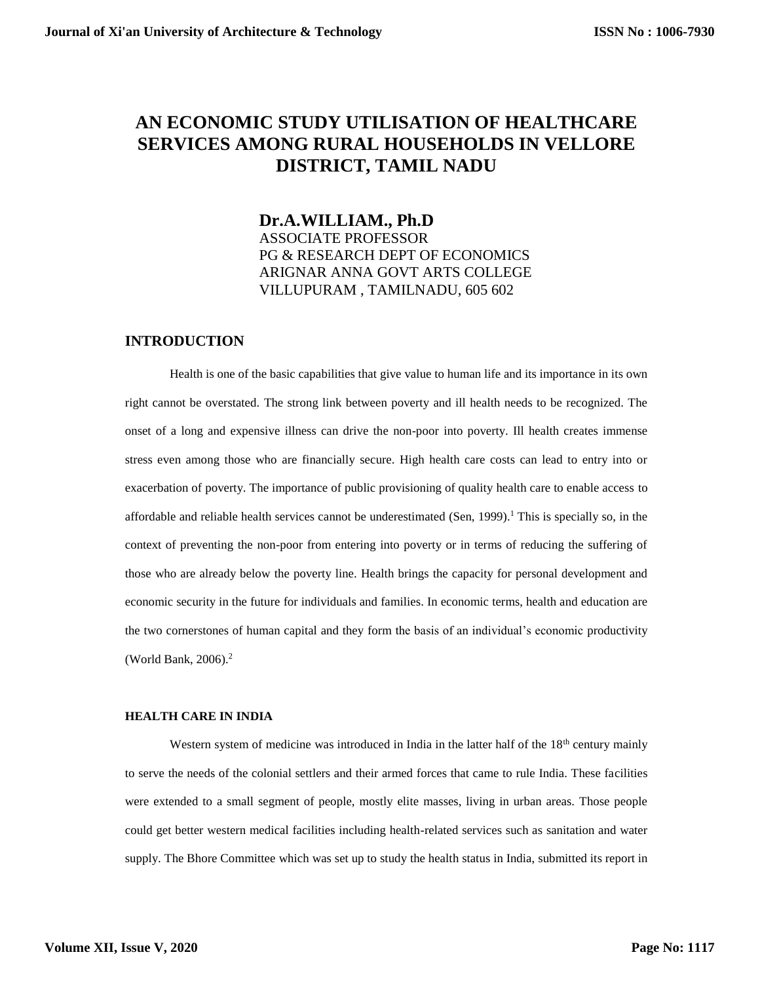# **AN ECONOMIC STUDY UTILISATION OF HEALTHCARE SERVICES AMONG RURAL HOUSEHOLDS IN VELLORE DISTRICT, TAMIL NADU**

## **Dr.A.WILLIAM., Ph.D** ASSOCIATE PROFESSOR PG & RESEARCH DEPT OF ECONOMICS ARIGNAR ANNA GOVT ARTS COLLEGE VILLUPURAM , TAMILNADU, 605 602

### **INTRODUCTION**

Health is one of the basic capabilities that give value to human life and its importance in its own right cannot be overstated. The strong link between poverty and ill health needs to be recognized. The onset of a long and expensive illness can drive the non-poor into poverty. Ill health creates immense stress even among those who are financially secure. High health care costs can lead to entry into or exacerbation of poverty. The importance of public provisioning of quality health care to enable access to affordable and reliable health services cannot be underestimated (Sen, 1999). <sup>1</sup> This is specially so, in the context of preventing the non-poor from entering into poverty or in terms of reducing the suffering of those who are already below the poverty line. Health brings the capacity for personal development and economic security in the future for individuals and families. In economic terms, health and education are the two cornerstones of human capital and they form the basis of an individual's economic productivity (World Bank, 2006). 2

#### **HEALTH CARE IN INDIA**

Western system of medicine was introduced in India in the latter half of the  $18<sup>th</sup>$  century mainly to serve the needs of the colonial settlers and their armed forces that came to rule India. These facilities were extended to a small segment of people, mostly elite masses, living in urban areas. Those people could get better western medical facilities including health-related services such as sanitation and water supply. The Bhore Committee which was set up to study the health status in India, submitted its report in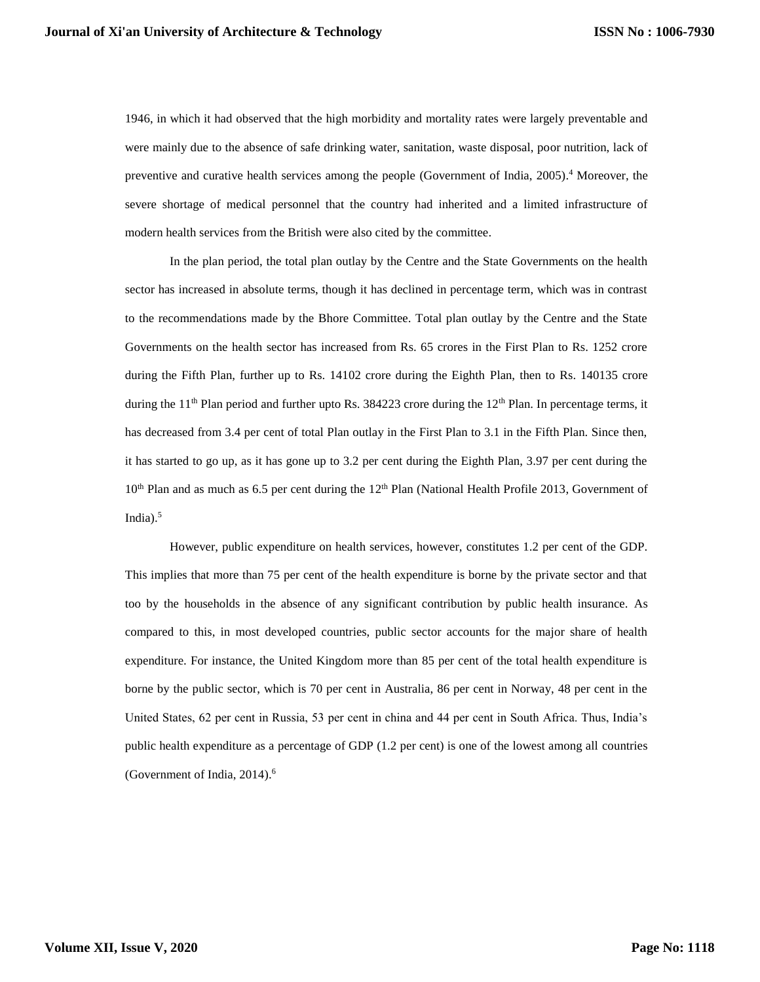1946, in which it had observed that the high morbidity and mortality rates were largely preventable and were mainly due to the absence of safe drinking water, sanitation, waste disposal, poor nutrition, lack of preventive and curative health services among the people (Government of India, 2005). <sup>4</sup> Moreover, the severe shortage of medical personnel that the country had inherited and a limited infrastructure of modern health services from the British were also cited by the committee.

In the plan period, the total plan outlay by the Centre and the State Governments on the health sector has increased in absolute terms, though it has declined in percentage term, which was in contrast to the recommendations made by the Bhore Committee. Total plan outlay by the Centre and the State Governments on the health sector has increased from Rs. 65 crores in the First Plan to Rs. 1252 crore during the Fifth Plan, further up to Rs. 14102 crore during the Eighth Plan, then to Rs. 140135 crore during the 11<sup>th</sup> Plan period and further upto Rs. 384223 crore during the 12<sup>th</sup> Plan. In percentage terms, it has decreased from 3.4 per cent of total Plan outlay in the First Plan to 3.1 in the Fifth Plan. Since then, it has started to go up, as it has gone up to 3.2 per cent during the Eighth Plan, 3.97 per cent during the 10<sup>th</sup> Plan and as much as 6.5 per cent during the 12<sup>th</sup> Plan (National Health Profile 2013, Government of India). 5

However, public expenditure on health services, however, constitutes 1.2 per cent of the GDP. This implies that more than 75 per cent of the health expenditure is borne by the private sector and that too by the households in the absence of any significant contribution by public health insurance. As compared to this, in most developed countries, public sector accounts for the major share of health expenditure. For instance, the United Kingdom more than 85 per cent of the total health expenditure is borne by the public sector, which is 70 per cent in Australia, 86 per cent in Norway, 48 per cent in the United States, 62 per cent in Russia, 53 per cent in china and 44 per cent in South Africa. Thus, India's public health expenditure as a percentage of GDP (1.2 per cent) is one of the lowest among all countries (Government of India, 2014).<sup>6</sup>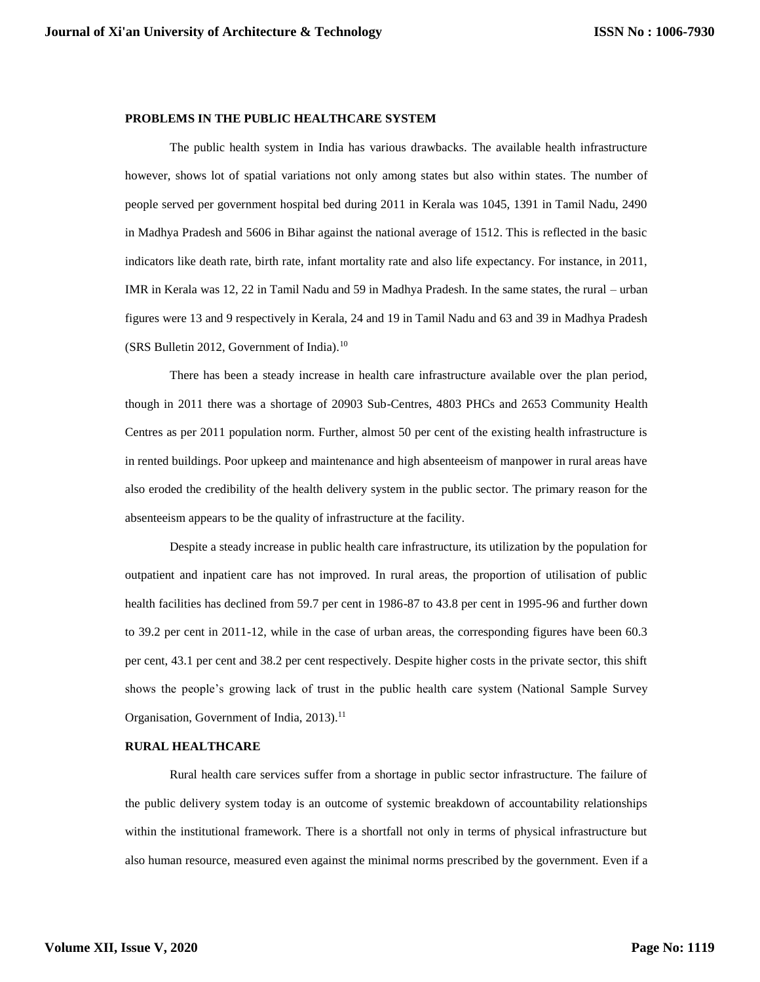#### **PROBLEMS IN THE PUBLIC HEALTHCARE SYSTEM**

The public health system in India has various drawbacks. The available health infrastructure however, shows lot of spatial variations not only among states but also within states. The number of people served per government hospital bed during 2011 in Kerala was 1045, 1391 in Tamil Nadu, 2490 in Madhya Pradesh and 5606 in Bihar against the national average of 1512. This is reflected in the basic indicators like death rate, birth rate, infant mortality rate and also life expectancy. For instance, in 2011, IMR in Kerala was 12, 22 in Tamil Nadu and 59 in Madhya Pradesh. In the same states, the rural – urban figures were 13 and 9 respectively in Kerala, 24 and 19 in Tamil Nadu and 63 and 39 in Madhya Pradesh (SRS Bulletin 2012, Government of India).<sup>10</sup>

There has been a steady increase in health care infrastructure available over the plan period, though in 2011 there was a shortage of 20903 Sub-Centres, 4803 PHCs and 2653 Community Health Centres as per 2011 population norm. Further, almost 50 per cent of the existing health infrastructure is in rented buildings. Poor upkeep and maintenance and high absenteeism of manpower in rural areas have also eroded the credibility of the health delivery system in the public sector. The primary reason for the absenteeism appears to be the quality of infrastructure at the facility.

Despite a steady increase in public health care infrastructure, its utilization by the population for outpatient and inpatient care has not improved. In rural areas, the proportion of utilisation of public health facilities has declined from 59.7 per cent in 1986-87 to 43.8 per cent in 1995-96 and further down to 39.2 per cent in 2011-12, while in the case of urban areas, the corresponding figures have been 60.3 per cent, 43.1 per cent and 38.2 per cent respectively. Despite higher costs in the private sector, this shift shows the people's growing lack of trust in the public health care system (National Sample Survey Organisation, Government of India, 2013).<sup>11</sup>

#### **RURAL HEALTHCARE**

Rural health care services suffer from a shortage in public sector infrastructure. The failure of the public delivery system today is an outcome of systemic breakdown of accountability relationships within the institutional framework. There is a shortfall not only in terms of physical infrastructure but also human resource, measured even against the minimal norms prescribed by the government. Even if a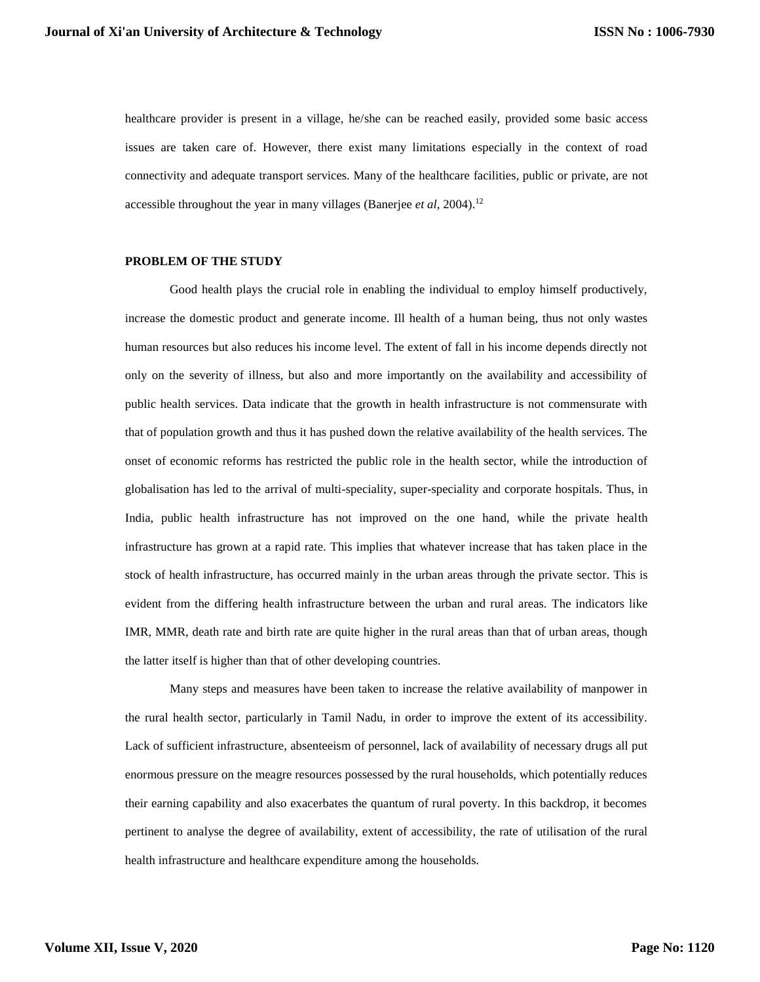healthcare provider is present in a village, he/she can be reached easily, provided some basic access issues are taken care of. However, there exist many limitations especially in the context of road connectivity and adequate transport services. Many of the healthcare facilities, public or private, are not accessible throughout the year in many villages (Banerjee *et al*, 2004). 12

#### **PROBLEM OF THE STUDY**

Good health plays the crucial role in enabling the individual to employ himself productively, increase the domestic product and generate income. Ill health of a human being, thus not only wastes human resources but also reduces his income level. The extent of fall in his income depends directly not only on the severity of illness, but also and more importantly on the availability and accessibility of public health services. Data indicate that the growth in health infrastructure is not commensurate with that of population growth and thus it has pushed down the relative availability of the health services. The onset of economic reforms has restricted the public role in the health sector, while the introduction of globalisation has led to the arrival of multi-speciality, super-speciality and corporate hospitals. Thus, in India, public health infrastructure has not improved on the one hand, while the private health infrastructure has grown at a rapid rate. This implies that whatever increase that has taken place in the stock of health infrastructure, has occurred mainly in the urban areas through the private sector. This is evident from the differing health infrastructure between the urban and rural areas. The indicators like IMR, MMR, death rate and birth rate are quite higher in the rural areas than that of urban areas, though the latter itself is higher than that of other developing countries.

Many steps and measures have been taken to increase the relative availability of manpower in the rural health sector, particularly in Tamil Nadu, in order to improve the extent of its accessibility. Lack of sufficient infrastructure, absenteeism of personnel, lack of availability of necessary drugs all put enormous pressure on the meagre resources possessed by the rural households, which potentially reduces their earning capability and also exacerbates the quantum of rural poverty. In this backdrop, it becomes pertinent to analyse the degree of availability, extent of accessibility, the rate of utilisation of the rural health infrastructure and healthcare expenditure among the households.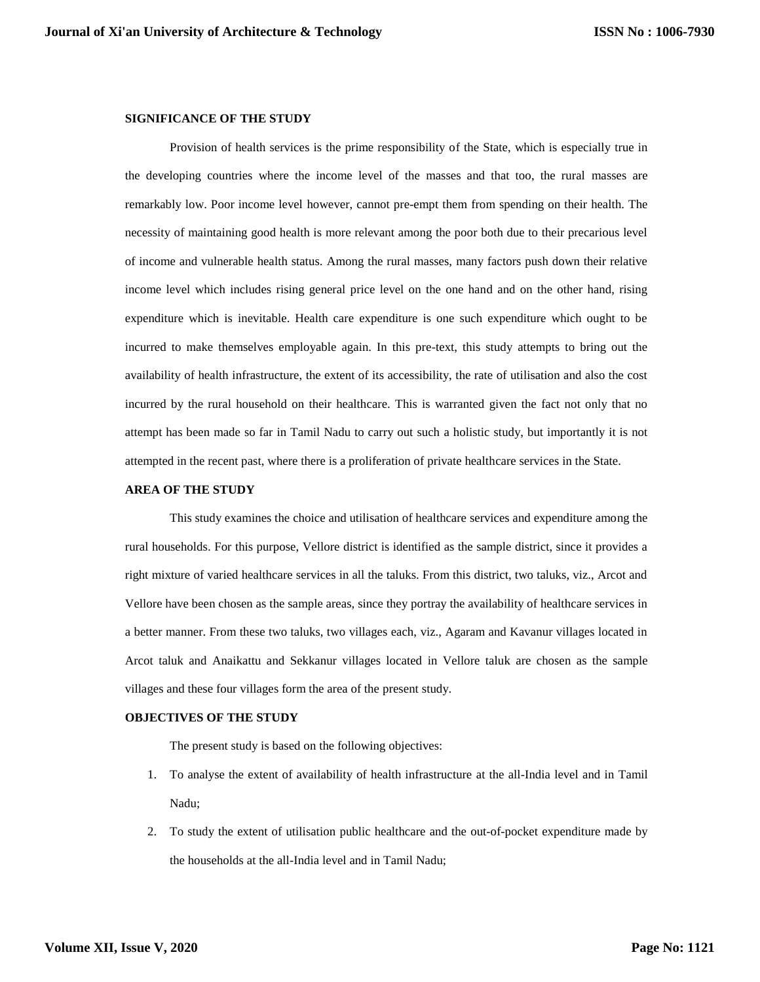#### **SIGNIFICANCE OF THE STUDY**

Provision of health services is the prime responsibility of the State, which is especially true in the developing countries where the income level of the masses and that too, the rural masses are remarkably low. Poor income level however, cannot pre-empt them from spending on their health. The necessity of maintaining good health is more relevant among the poor both due to their precarious level of income and vulnerable health status. Among the rural masses, many factors push down their relative income level which includes rising general price level on the one hand and on the other hand, rising expenditure which is inevitable. Health care expenditure is one such expenditure which ought to be incurred to make themselves employable again. In this pre-text, this study attempts to bring out the availability of health infrastructure, the extent of its accessibility, the rate of utilisation and also the cost incurred by the rural household on their healthcare. This is warranted given the fact not only that no attempt has been made so far in Tamil Nadu to carry out such a holistic study, but importantly it is not attempted in the recent past, where there is a proliferation of private healthcare services in the State.

#### **AREA OF THE STUDY**

This study examines the choice and utilisation of healthcare services and expenditure among the rural households. For this purpose, Vellore district is identified as the sample district, since it provides a right mixture of varied healthcare services in all the taluks. From this district, two taluks, viz., Arcot and Vellore have been chosen as the sample areas, since they portray the availability of healthcare services in a better manner. From these two taluks, two villages each, viz., Agaram and Kavanur villages located in Arcot taluk and Anaikattu and Sekkanur villages located in Vellore taluk are chosen as the sample villages and these four villages form the area of the present study.

#### **OBJECTIVES OF THE STUDY**

The present study is based on the following objectives:

- 1. To analyse the extent of availability of health infrastructure at the all-India level and in Tamil Nadu;
- 2. To study the extent of utilisation public healthcare and the out-of-pocket expenditure made by the households at the all-India level and in Tamil Nadu;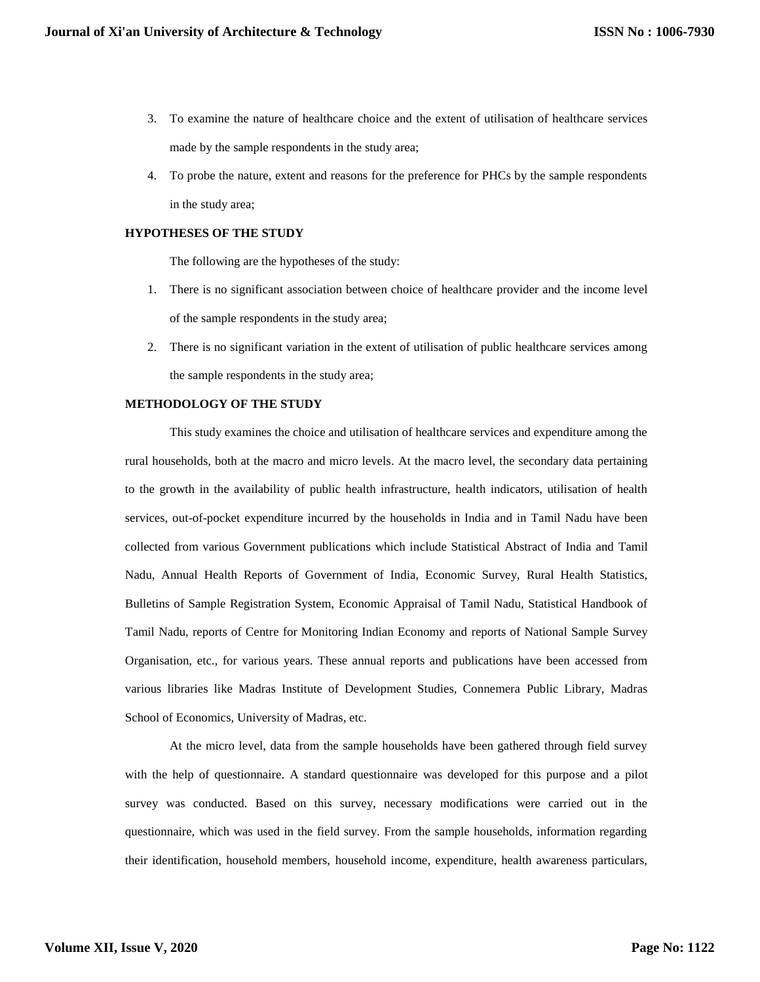- 3. To examine the nature of healthcare choice and the extent of utilisation of healthcare services made by the sample respondents in the study area;
- 4. To probe the nature, extent and reasons for the preference for PHCs by the sample respondents in the study area;

#### **HYPOTHESES OF THE STUDY**

The following are the hypotheses of the study:

- 1. There is no significant association between choice of healthcare provider and the income level of the sample respondents in the study area;
- 2. There is no significant variation in the extent of utilisation of public healthcare services among the sample respondents in the study area;

#### **METHODOLOGY OF THE STUDY**

This study examines the choice and utilisation of healthcare services and expenditure among the rural households, both at the macro and micro levels. At the macro level, the secondary data pertaining to the growth in the availability of public health infrastructure, health indicators, utilisation of health services, out-of-pocket expenditure incurred by the households in India and in Tamil Nadu have been collected from various Government publications which include Statistical Abstract of India and Tamil Nadu, Annual Health Reports of Government of India, Economic Survey, Rural Health Statistics, Bulletins of Sample Registration System, Economic Appraisal of Tamil Nadu, Statistical Handbook of Tamil Nadu, reports of Centre for Monitoring Indian Economy and reports of National Sample Survey Organisation, etc., for various years. These annual reports and publications have been accessed from various libraries like Madras Institute of Development Studies, Connemera Public Library, Madras School of Economics, University of Madras, etc.

At the micro level, data from the sample households have been gathered through field survey with the help of questionnaire. A standard questionnaire was developed for this purpose and a pilot survey was conducted. Based on this survey, necessary modifications were carried out in the questionnaire, which was used in the field survey. From the sample households, information regarding their identification, household members, household income, expenditure, health awareness particulars,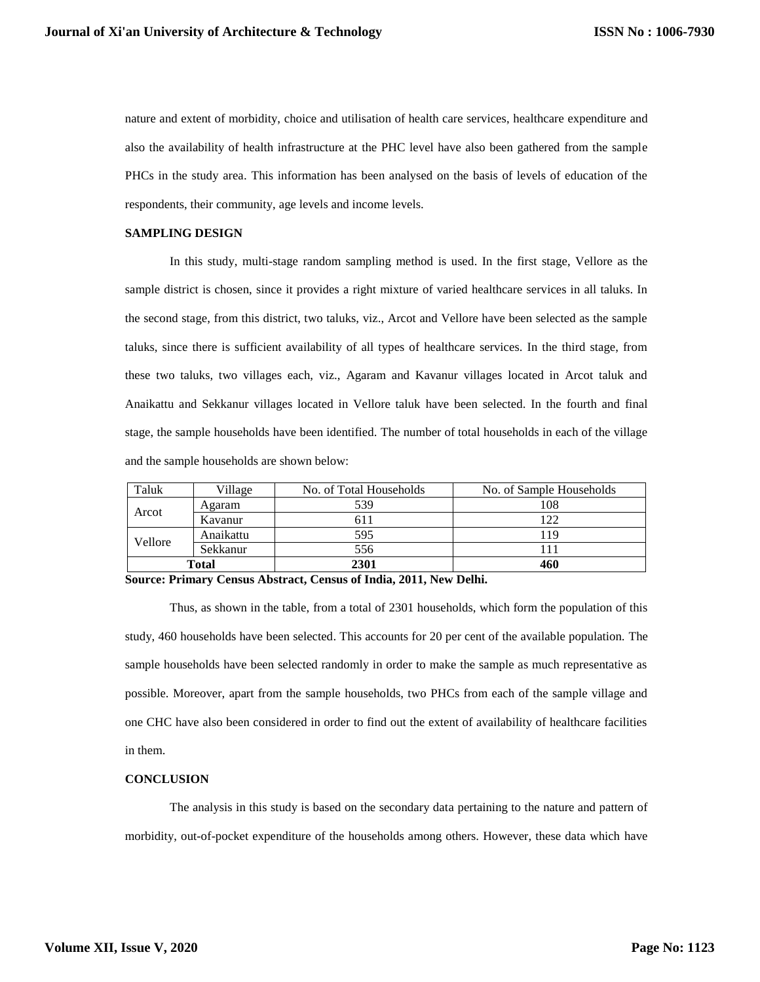nature and extent of morbidity, choice and utilisation of health care services, healthcare expenditure and also the availability of health infrastructure at the PHC level have also been gathered from the sample PHCs in the study area. This information has been analysed on the basis of levels of education of the respondents, their community, age levels and income levels.

#### **SAMPLING DESIGN**

In this study, multi-stage random sampling method is used. In the first stage, Vellore as the sample district is chosen, since it provides a right mixture of varied healthcare services in all taluks. In the second stage, from this district, two taluks, viz., Arcot and Vellore have been selected as the sample taluks, since there is sufficient availability of all types of healthcare services. In the third stage, from these two taluks, two villages each, viz., Agaram and Kavanur villages located in Arcot taluk and Anaikattu and Sekkanur villages located in Vellore taluk have been selected. In the fourth and final stage, the sample households have been identified. The number of total households in each of the village and the sample households are shown below:

| Taluk   | Village   | No. of Total Households | No. of Sample Households |
|---------|-----------|-------------------------|--------------------------|
| Arcot   | Agaram    | 539                     | 108                      |
|         | Kavanur   | 611                     | 122                      |
| Vellore | Anaikattu | 595                     | 119                      |
|         | Sekkanur  | 556                     | 111                      |
| Total   |           | 2301                    | 460                      |

**Source: Primary Census Abstract, Census of India, 2011, New Delhi.** 

Thus, as shown in the table, from a total of 2301 households, which form the population of this study, 460 households have been selected. This accounts for 20 per cent of the available population. The sample households have been selected randomly in order to make the sample as much representative as possible. Moreover, apart from the sample households, two PHCs from each of the sample village and one CHC have also been considered in order to find out the extent of availability of healthcare facilities in them.

#### **CONCLUSION**

The analysis in this study is based on the secondary data pertaining to the nature and pattern of morbidity, out-of-pocket expenditure of the households among others. However, these data which have